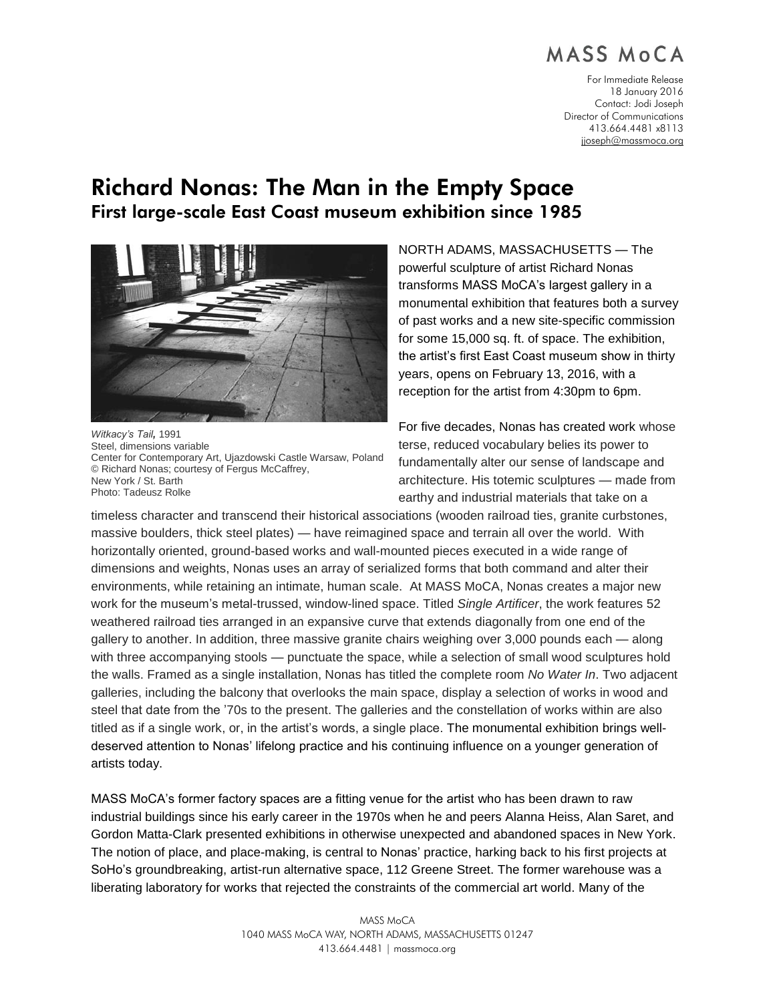# MASS MOCA

For Immediate Release 18 January 2016 Contact: Jodi Joseph Director of Communications 413.664.4481 x8113 [jjoseph@massmoca.org](mailto:jjoseph@massmoca.org)

# Richard Nonas: The Man in the Empty Space First large-scale East Coast museum exhibition since 1985



*Witkacy's Tail,* 1991 Steel, dimensions variable Center for Contemporary Art, Ujazdowski Castle Warsaw, Poland © Richard Nonas; courtesy of Fergus McCaffrey, New York / St. Barth Photo: Tadeusz Rolke

NORTH ADAMS, MASSACHUSETTS — The powerful sculpture of artist Richard Nonas transforms MASS MoCA's largest gallery in a monumental exhibition that features both a survey of past works and a new site-specific commission for some 15,000 sq. ft. of space. The exhibition, the artist's first East Coast museum show in thirty years, opens on February 13, 2016, with a reception for the artist from 4:30pm to 6pm.

For five decades, Nonas has created work whose terse, reduced vocabulary belies its power to fundamentally alter our sense of landscape and architecture. His totemic sculptures — made from earthy and industrial materials that take on a

timeless character and transcend their historical associations (wooden railroad ties, granite curbstones, massive boulders, thick steel plates) — have reimagined space and terrain all over the world. With horizontally oriented, ground-based works and wall-mounted pieces executed in a wide range of dimensions and weights, Nonas uses an array of serialized forms that both command and alter their environments, while retaining an intimate, human scale. At MASS MoCA, Nonas creates a major new work for the museum's metal-trussed, window-lined space. Titled *Single Artificer*, the work features 52 weathered railroad ties arranged in an expansive curve that extends diagonally from one end of the gallery to another. In addition, three massive granite chairs weighing over 3,000 pounds each — along with three accompanying stools — punctuate the space, while a selection of small wood sculptures hold the walls. Framed as a single installation, Nonas has titled the complete room *No Water In*. Two adjacent galleries, including the balcony that overlooks the main space, display a selection of works in wood and steel that date from the '70s to the present. The galleries and the constellation of works within are also titled as if a single work, or, in the artist's words, a single place. The monumental exhibition brings welldeserved attention to Nonas' lifelong practice and his continuing influence on a younger generation of artists today.

MASS MoCA's former factory spaces are a fitting venue for the artist who has been drawn to raw industrial buildings since his early career in the 1970s when he and peers Alanna Heiss, Alan Saret, and Gordon Matta-Clark presented exhibitions in otherwise unexpected and abandoned spaces in New York. The notion of place, and place-making, is central to Nonas' practice, harking back to his first projects at SoHo's groundbreaking, artist-run alternative space, 112 Greene Street. The former warehouse was a liberating laboratory for works that rejected the constraints of the commercial art world. Many of the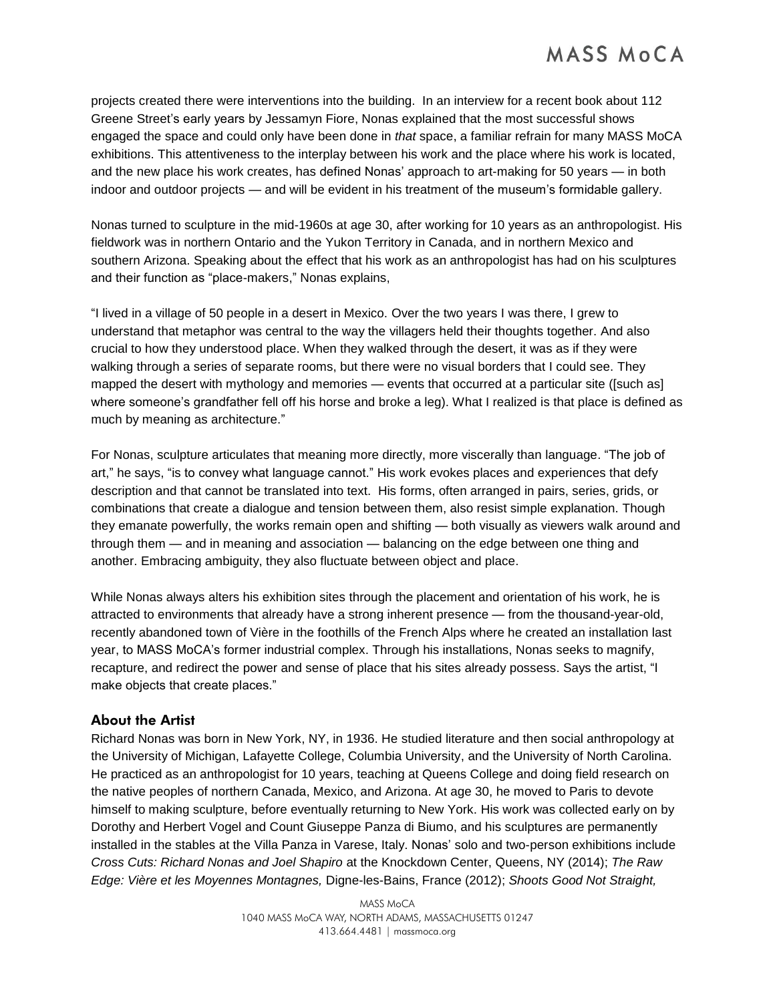projects created there were interventions into the building. In an interview for a recent book about 112 Greene Street's early years by Jessamyn Fiore, Nonas explained that the most successful shows engaged the space and could only have been done in *that* space, a familiar refrain for many MASS MoCA exhibitions. This attentiveness to the interplay between his work and the place where his work is located, and the new place his work creates, has defined Nonas' approach to art-making for 50 years — in both indoor and outdoor projects — and will be evident in his treatment of the museum's formidable gallery.

Nonas turned to sculpture in the mid-1960s at age 30, after working for 10 years as an anthropologist. His fieldwork was in northern Ontario and the Yukon Territory in Canada, and in northern Mexico and southern Arizona. Speaking about the effect that his work as an anthropologist has had on his sculptures and their function as "place-makers," Nonas explains,

"I lived in a village of 50 people in a desert in Mexico. Over the two years I was there, I grew to understand that metaphor was central to the way the villagers held their thoughts together. And also crucial to how they understood place. When they walked through the desert, it was as if they were walking through a series of separate rooms, but there were no visual borders that I could see. They mapped the desert with mythology and memories — events that occurred at a particular site ([such as] where someone's grandfather fell off his horse and broke a leg). What I realized is that place is defined as much by meaning as architecture."

For Nonas, sculpture articulates that meaning more directly, more viscerally than language. "The job of art," he says, "is to convey what language cannot." His work evokes places and experiences that defy description and that cannot be translated into text. His forms, often arranged in pairs, series, grids, or combinations that create a dialogue and tension between them, also resist simple explanation. Though they emanate powerfully, the works remain open and shifting — both visually as viewers walk around and through them — and in meaning and association — balancing on the edge between one thing and another. Embracing ambiguity, they also fluctuate between object and place.

While Nonas always alters his exhibition sites through the placement and orientation of his work, he is attracted to environments that already have a strong inherent presence — from the thousand-year-old, recently abandoned town of Vière in the foothills of the French Alps where he created an installation last year, to MASS MoCA's former industrial complex. Through his installations, Nonas seeks to magnify, recapture, and redirect the power and sense of place that his sites already possess. Says the artist, "I make objects that create places."

### About the Artist

Richard Nonas was born in New York, NY, in 1936. He studied literature and then social anthropology at the University of Michigan, Lafayette College, Columbia University, and the University of North Carolina. He practiced as an anthropologist for 10 years, teaching at Queens College and doing field research on the native peoples of northern Canada, Mexico, and Arizona. At age 30, he moved to Paris to devote himself to making sculpture, before eventually returning to New York. His work was collected early on by Dorothy and Herbert Vogel and Count Giuseppe Panza di Biumo, and his sculptures are permanently installed in the stables at the Villa Panza in Varese, Italy. Nonas' solo and two-person exhibitions include *Cross Cuts: Richard Nonas and Joel Shapiro* at the Knockdown Center, Queens, NY (2014); *The Raw Edge: Vière et les Moyennes Montagnes,* Digne-les-Bains, France (2012); *Shoots Good Not Straight,* 

> MASS MoCA 1040 MASS MoCA WAY, NORTH ADAMS, MASSACHUSETTS 01247 413.664.4481 | massmoca.org